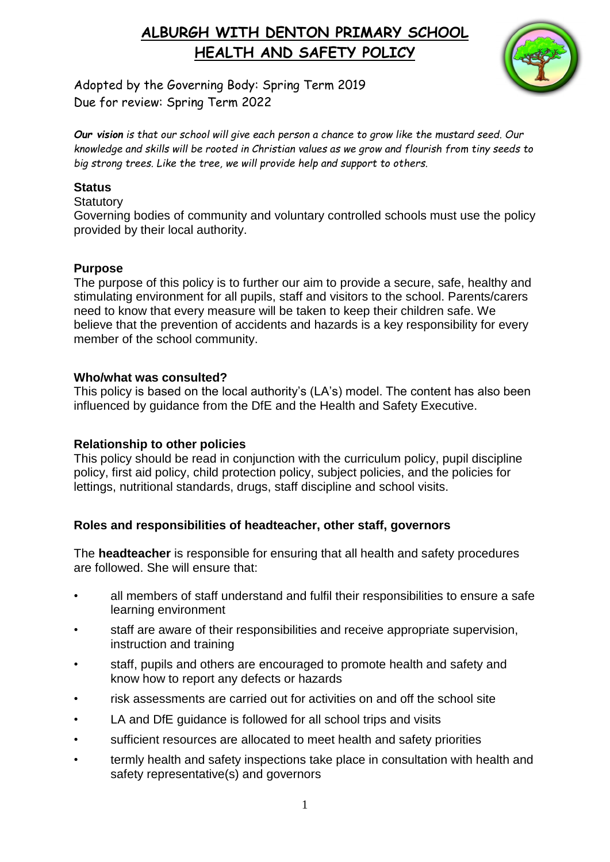

Adopted by the Governing Body: Spring Term 2019 Due for review: Spring Term 2022

*Our vision is that our school will give each person a chance to grow like the mustard seed. Our knowledge and skills will be rooted in Christian values as we grow and flourish from tiny seeds to big strong trees. Like the tree, we will provide help and support to others.*

#### **Status**

#### **Statutory**

Governing bodies of community and voluntary controlled schools must use the policy provided by their local authority.

#### **Purpose**

The purpose of this policy is to further our aim to provide a secure, safe, healthy and stimulating environment for all pupils, staff and visitors to the school. Parents/carers need to know that every measure will be taken to keep their children safe. We believe that the prevention of accidents and hazards is a key responsibility for every member of the school community.

#### **Who/what was consulted?**

This policy is based on the local authority's (LA's) model. The content has also been influenced by guidance from the DfE and the Health and Safety Executive.

### **Relationship to other policies**

This policy should be read in conjunction with the curriculum policy, pupil discipline policy, first aid policy, child protection policy, subject policies, and the policies for lettings, nutritional standards, drugs, staff discipline and school visits.

### **Roles and responsibilities of headteacher, other staff, governors**

The **headteacher** is responsible for ensuring that all health and safety procedures are followed. She will ensure that:

- all members of staff understand and fulfil their responsibilities to ensure a safe learning environment
- staff are aware of their responsibilities and receive appropriate supervision, instruction and training
- staff, pupils and others are encouraged to promote health and safety and know how to report any defects or hazards
- risk assessments are carried out for activities on and off the school site
- LA and DfE guidance is followed for all school trips and visits
- sufficient resources are allocated to meet health and safety priorities
- termly health and safety inspections take place in consultation with health and safety representative(s) and governors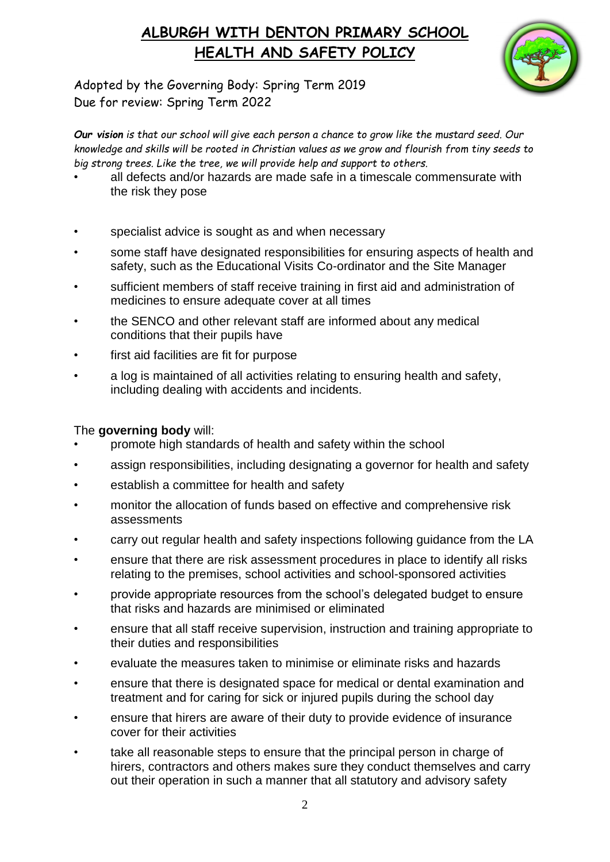

Adopted by the Governing Body: Spring Term 2019 Due for review: Spring Term 2022

*Our vision is that our school will give each person a chance to grow like the mustard seed. Our knowledge and skills will be rooted in Christian values as we grow and flourish from tiny seeds to big strong trees. Like the tree, we will provide help and support to others.*

- all defects and/or hazards are made safe in a timescale commensurate with the risk they pose
- specialist advice is sought as and when necessary
- some staff have designated responsibilities for ensuring aspects of health and safety, such as the Educational Visits Co-ordinator and the Site Manager
- sufficient members of staff receive training in first aid and administration of medicines to ensure adequate cover at all times
- the SENCO and other relevant staff are informed about any medical conditions that their pupils have
- first aid facilities are fit for purpose
- a log is maintained of all activities relating to ensuring health and safety, including dealing with accidents and incidents.

### The **governing body** will:

- promote high standards of health and safety within the school
- assign responsibilities, including designating a governor for health and safety
- establish a committee for health and safety
- monitor the allocation of funds based on effective and comprehensive risk assessments
- carry out regular health and safety inspections following guidance from the LA
- ensure that there are risk assessment procedures in place to identify all risks relating to the premises, school activities and school-sponsored activities
- provide appropriate resources from the school's delegated budget to ensure that risks and hazards are minimised or eliminated
- ensure that all staff receive supervision, instruction and training appropriate to their duties and responsibilities
- evaluate the measures taken to minimise or eliminate risks and hazards
- ensure that there is designated space for medical or dental examination and treatment and for caring for sick or injured pupils during the school day
- ensure that hirers are aware of their duty to provide evidence of insurance cover for their activities
- take all reasonable steps to ensure that the principal person in charge of hirers, contractors and others makes sure they conduct themselves and carry out their operation in such a manner that all statutory and advisory safety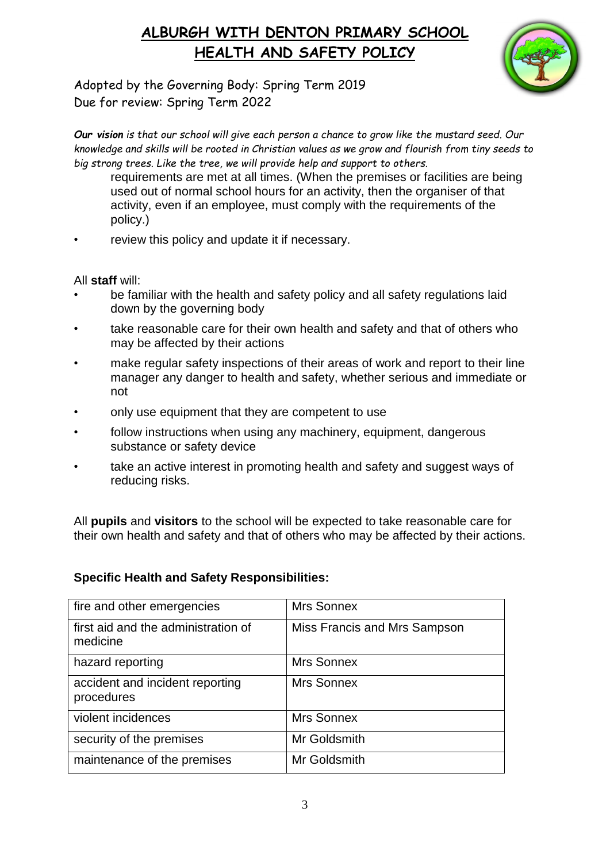

Adopted by the Governing Body: Spring Term 2019 Due for review: Spring Term 2022

*Our vision is that our school will give each person a chance to grow like the mustard seed. Our knowledge and skills will be rooted in Christian values as we grow and flourish from tiny seeds to big strong trees. Like the tree, we will provide help and support to others.*

- requirements are met at all times. (When the premises or facilities are being used out of normal school hours for an activity, then the organiser of that activity, even if an employee, must comply with the requirements of the policy.)
- review this policy and update it if necessary.

All **staff** will:

- be familiar with the health and safety policy and all safety regulations laid down by the governing body
- take reasonable care for their own health and safety and that of others who may be affected by their actions
- make regular safety inspections of their areas of work and report to their line manager any danger to health and safety, whether serious and immediate or not
- only use equipment that they are competent to use
- follow instructions when using any machinery, equipment, dangerous substance or safety device
- take an active interest in promoting health and safety and suggest ways of reducing risks.

All **pupils** and **visitors** to the school will be expected to take reasonable care for their own health and safety and that of others who may be affected by their actions.

**Specific Health and Safety Responsibilities:**

| fire and other emergencies                      | Mrs Sonnex                   |
|-------------------------------------------------|------------------------------|
| first aid and the administration of<br>medicine | Miss Francis and Mrs Sampson |
| hazard reporting                                | Mrs Sonnex                   |
| accident and incident reporting<br>procedures   | Mrs Sonnex                   |
| violent incidences                              | Mrs Sonnex                   |
| security of the premises                        | Mr Goldsmith                 |
| maintenance of the premises                     | Mr Goldsmith                 |